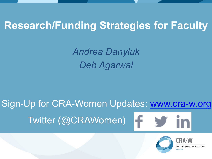### **Research/Funding Strategies for Faculty**

*Andrea Danyluk Deb Agarwal* 

Sign-Up for CRA-Women Updates: www.cra-w.org Twitter (@CRAWomen) f.



**Research Association**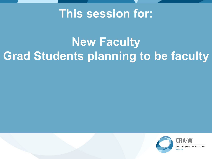### **This session for:**

### **New Faculty Grad Students planning to be faculty**



**Computing Research Association**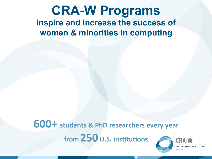### **CRA-W Programs inspire and increase the success of women & minorities in computing**

#### **600+** students & PhD researchers every year **from 250** U.S. institutions **CRA-W**

**Computing Research Association**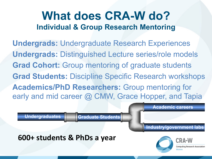### **What does CRA-W do? Individual & Group Research Mentoring**

**Undergrads:** Undergraduate Research Experiences **Undergrads:** Distinguished Lecture series/role models **Grad Cohort:** Group mentoring of graduate students **Grad Students:** Discipline Specific Research workshops **Academics/PhD Researchers:** Group mentoring for early and mid career @ CMW, Grace Hopper, and Tapia

**Academic careers** 

Undergraduates **Graduate Students** 

**Industry/government labs** 

**600+ students & PhDs a year** 



Research Association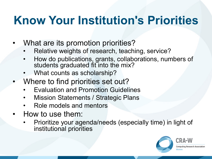### **Know Your Institution's Priorities**

- What are its promotion priorities?
	- Relative weights of research, teaching, service?
	- How do publications, grants, collaborations, numbers of students graduated fit into the mix?
	- What counts as scholarship?
- Where to find priorities set out?
	- Evaluation and Promotion Guidelines
	- Mission Statements / Strategic Plans
	- Role models and mentors
- How to use them:
	- Prioritize your agenda/needs (especially time) in light of institutional priorities

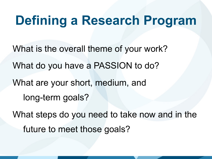### **Defining a Research Program**

What is the overall theme of your work? What do you have a PASSION to do? What are your short, medium, and long-term goals? What steps do you need to take now and in the future to meet those goals?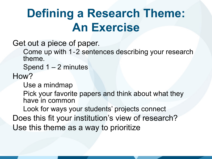### **Defining a Research Theme: An Exercise**

Get out a piece of paper.

Come up with 1‐2 sentences describing your research theme.

Spend 1 – 2 minutes

How?

Use a mindmap

Pick your favorite papers and think about what they have in common

Look for ways your students' projects connect Does this fit your institution's view of research? Use this theme as a way to prioritize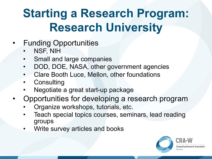### **Starting a Research Program: Research University**

- **Funding Opportunities** 
	- NSF, NIH
	- Small and large companies
	- DOD, DOE, NASA, other government agencies
	- Clare Booth Luce, Mellon, other foundations
	- **Consulting**
	- Negotiate a great start-up package
- Opportunities for developing a research program
	- Organize workshops, tutorials, etc.
	- Teach special topics courses, seminars, lead reading groups
	- Write survey articles and books

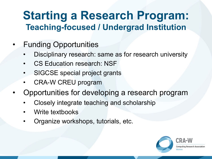### **Starting a Research Program: Teaching-focused / Undergrad Institution**

- Funding Opportunities
	- Disciplinary research: same as for research university
	- CS Education research: NSF
	- SIGCSE special project grants
	- CRA-W CREU program
- Opportunities for developing a research program
	- Closely integrate teaching and scholarship
	- Write textbooks
	- Organize workshops, tutorials, etc.

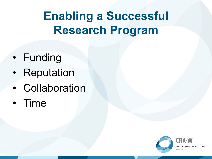### **Enabling a Successful Research Program**

- Funding
- Reputation
- Collaboration
- Time

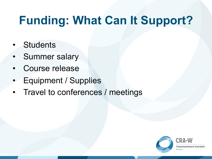### **Funding: What Can It Support?**

- **Students**
- Summer salary
- Course release
- Equipment / Supplies
- Travel to conferences / meetings

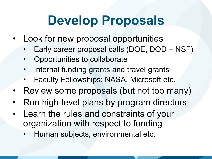## **Develop Proposals**

- Look for new proposal opportunities
	- Early career proposal calls (DOE, DOD + NSF)
	- Opportunities to collaborate
	- Internal funding grants and travel grants
	- Faculty Fellowships: NASA, Microsoft etc.
- Review some proposals (but not too many)
- Run high-level plans by program directors
- Learn the rules and constraints of your organization with respect to funding
	- Human subjects, environmental etc.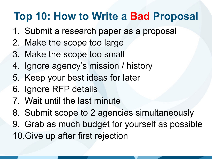### **Top 10: How to Write a Bad Proposal**

- 1. Submit a research paper as a proposal
- 2. Make the scope too large
- 3. Make the scope too small
- 4. Ignore agency's mission / history
- 5. Keep your best ideas for later
- 6. Ignore RFP details
- 7. Wait until the last minute
- 8. Submit scope to 2 agencies simultaneously
- 9. Grab as much budget for yourself as possible 10.Give up after first rejection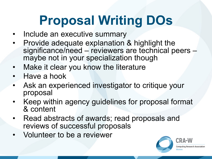# **Proposal Writing DOs**

- Include an executive summary
- Provide adequate explanation & highlight the significance/need – reviewers are technical peers – maybe not in your specialization though
- Make it clear you know the literature
- Have a hook
- Ask an experienced investigator to critique your proposal
- Keep within agency guidelines for proposal format & content
- Read abstracts of awards; read proposals and reviews of successful proposals
- Volunteer to be a reviewer

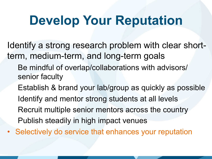## **Develop Your Reputation**

Identify a strong research problem with clear shortterm, medium-term, and long-term goals Be mindful of overlap/collaborations with advisors/ senior faculty Establish & brand your lab/group as quickly as possible Identify and mentor strong students at all levels Recruit multiple senior mentors across the country Publish steadily in high impact venues

• Selectively do service that enhances your reputation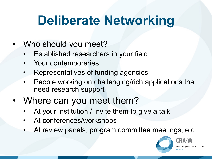# **Deliberate Networking**

- Who should you meet?
	- Established researchers in your field
	- Your contemporaries
	- Representatives of funding agencies
	- People working on challenging/rich applications that need research support
- Where can you meet them?
	- At your institution / Invite them to give a talk
	- At conferences/workshops
	- At review panels, program committee meetings, etc.



CRA-W Research Associatio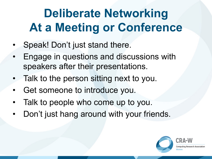### **Deliberate Networking At a Meeting or Conference**

- Speak! Don't just stand there.
- Engage in questions and discussions with speakers after their presentations.
- Talk to the person sitting next to you.
- Get someone to introduce you.
- Talk to people who come up to you.
- Don't just hang around with your friends.

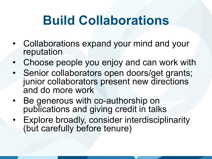# **Build Collaborations**

- Collaborations expand your mind and your reputation
- Choose people you enjoy and can work with
- Senior collaborators open doors/get grants; junior collaborators present new directions and do more work
- Be generous with co-authorship on publications and giving credit in talks
- Explore broadly, consider interdisciplinarity (but carefully before tenure)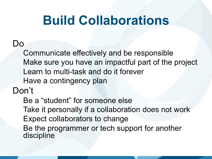## **Build Collaborations**

#### Do

Communicate effectively and be responsible Make sure you have an impactful part of the project Learn to multi-task and do it forever Have a contingency plan

Don't

Be a "student" for someone else Take it personally if a collaboration does not work Expect collaborators to change Be the programmer or tech support for another discipline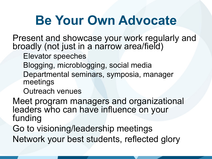## **Be Your Own Advocate**

Present and showcase your work regularly and broadly (not just in a narrow area/field)

Elevator speeches

Blogging, microblogging, social media

Departmental seminars, symposia, manager meetings

Outreach venues

Meet program managers and organizational leaders who can have influence on your funding

Go to visioning/leadership meetings Network your best students, reflected glory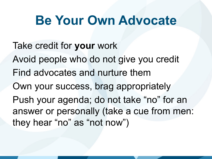### **Be Your Own Advocate**

Take credit for **your** work Avoid people who do not give you credit Find advocates and nurture them Own your success, brag appropriately Push your agenda; do not take "no" for an answer or personally (take a cue from men: they hear "no" as "not now")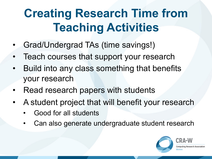### **Creating Research Time from Teaching Activities**

- Grad/Undergrad TAs (time savings!)
- Teach courses that support your research
- Build into any class something that benefits your research
- Read research papers with students
- A student project that will benefit your research
	- Good for all students
	- Can also generate undergraduate student research

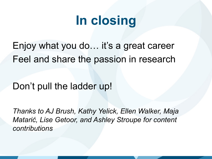# **In closing**

Enjoy what you do… it's a great career Feel and share the passion in research

#### Don't pull the ladder up!

*Thanks to AJ Brush, Kathy Yelick, Ellen Walker, Maja Matarić, Lise Getoor, and Ashley Stroupe for content contributions*